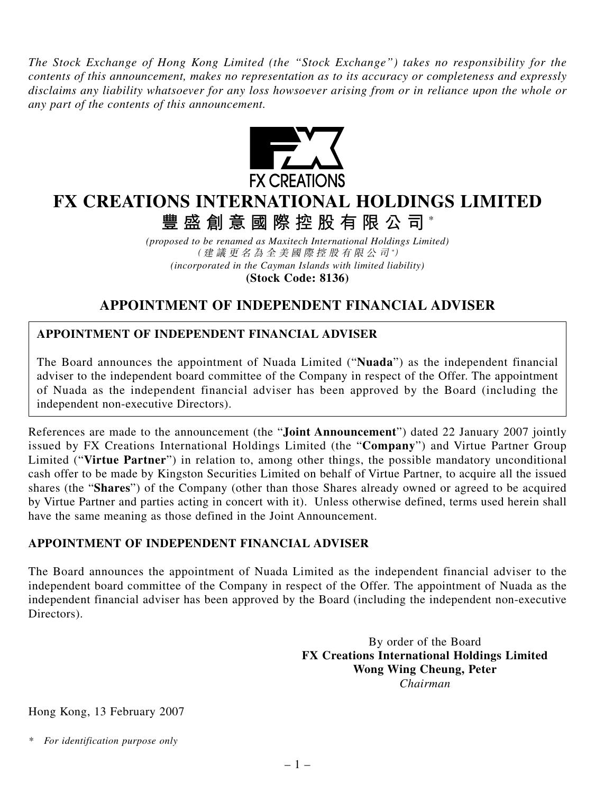*The Stock Exchange of Hong Kong Limited (the "Stock Exchange") takes no responsibility for the contents of this announcement, makes no representation as to its accuracy or completeness and expressly disclaims any liability whatsoever for any loss howsoever arising from or in reliance upon the whole or any part of the contents of this announcement.*



## **FX CREATIONS INTERNATIONAL HOLDINGS LIMITED**

**豐盛創意國際控股有限公司** \*

*(proposed to be renamed as Maxitech International Holdings Limited)* (建議更名為全美國際控股有限公司 *\** ) *(incorporated in the Cayman Islands with limited liability)* **(Stock Code: 8136)**

## **APPOINTMENT OF INDEPENDENT FINANCIAL ADVISER**

## **APPOINTMENT OF INDEPENDENT FINANCIAL ADVISER**

The Board announces the appointment of Nuada Limited ("**Nuada**") as the independent financial adviser to the independent board committee of the Company in respect of the Offer. The appointment of Nuada as the independent financial adviser has been approved by the Board (including the independent non-executive Directors).

References are made to the announcement (the "**Joint Announcement**") dated 22 January 2007 jointly issued by FX Creations International Holdings Limited (the "**Company**") and Virtue Partner Group Limited ("**Virtue Partner**") in relation to, among other things, the possible mandatory unconditional cash offer to be made by Kingston Securities Limited on behalf of Virtue Partner, to acquire all the issued shares (the "**Shares**") of the Company (other than those Shares already owned or agreed to be acquired by Virtue Partner and parties acting in concert with it). Unless otherwise defined, terms used herein shall have the same meaning as those defined in the Joint Announcement.

## **APPOINTMENT OF INDEPENDENT FINANCIAL ADVISER**

The Board announces the appointment of Nuada Limited as the independent financial adviser to the independent board committee of the Company in respect of the Offer. The appointment of Nuada as the independent financial adviser has been approved by the Board (including the independent non-executive Directors).

> By order of the Board **FX Creations International Holdings Limited Wong Wing Cheung, Peter** *Chairman*

Hong Kong, 13 February 2007

*\* For identification purpose only*